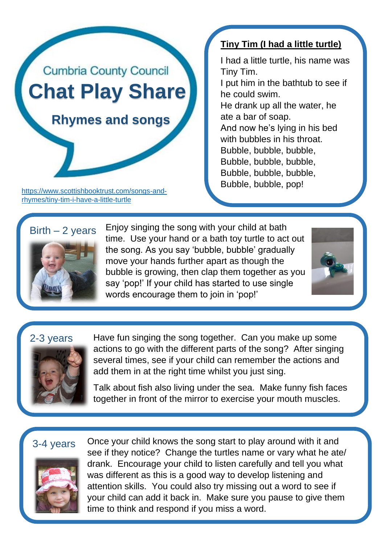

[https://www.scottishbooktrust.com/songs-and](https://www.scottishbooktrust.com/songs-and-rhymes/tiny-tim-i-have-a-little-turtle)[rhymes/tiny-tim-i-have-a-little-turtle](https://www.scottishbooktrust.com/songs-and-rhymes/tiny-tim-i-have-a-little-turtle)

### **Tiny Tim (I had a little turtle)**

I had a little turtle, his name was Tiny Tim. I put him in the bathtub to see if he could swim. He drank up all the water, he ate a bar of soap. And now he's lying in his bed with bubbles in his throat. Bubble, bubble, bubble, Bubble, bubble, bubble, Bubble, bubble, bubble, Bubble, bubble, pop!

# $Birth - 2 years$



Enjoy singing the song with your child at bath time. Use your hand or a bath toy turtle to act out the song. As you say 'bubble, bubble' gradually move your hands further apart as though the bubble is growing, then clap them together as you say 'pop!' If your child has started to use single words encourage them to join in 'pop!'



#### 2-3 years



Have fun singing the song together. Can you make up some actions to go with the different parts of the song? After singing several times, see if your child can remember the actions and add them in at the right time whilst you just sing.

Talk about fish also living under the sea. Make funny fish faces together in front of the mirror to exercise your mouth muscles.

## 3-4 years



Once your child knows the song start to play around with it and see if they notice? Change the turtles name or vary what he ate/ drank. Encourage your child to listen carefully and tell you what was different as this is a good way to develop listening and attention skills. You could also try missing out a word to see if your child can add it back in. Make sure you pause to give them time to think and respond if you miss a word.